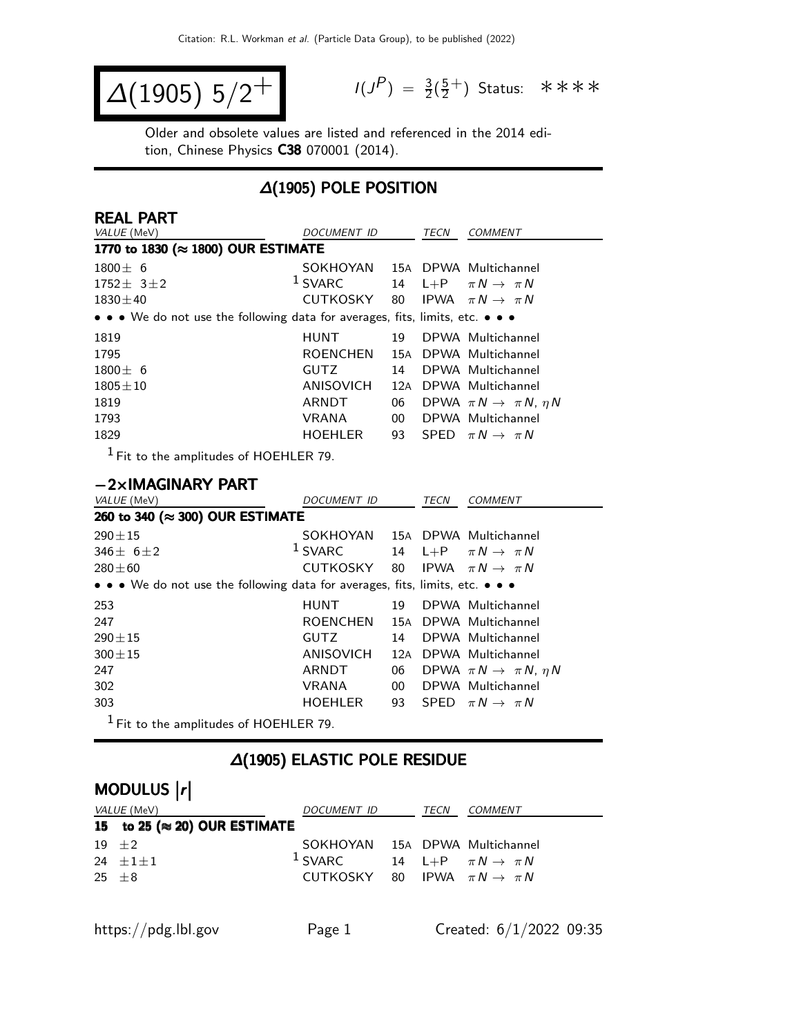$$
\Delta(1905) 5/2^+
$$

 $P$ ) =  $\frac{3}{2}(\frac{5}{2})$  $\frac{5}{2}^+$ ) Status: \*\*\*\*

Older and obsolete values are listed and referenced in the 2014 edition, Chinese Physics C38 070001 (2014).

### ∆(1905) POLE POSITION

| <b>REAL PART</b>                                                              |                 |     |      |                                           |
|-------------------------------------------------------------------------------|-----------------|-----|------|-------------------------------------------|
| VALUE (MeV)                                                                   | DOCUMENT ID     |     | TECN | COMMENT                                   |
| 1770 to 1830 (≈ 1800) OUR ESTIMATE                                            |                 |     |      |                                           |
| $1800 \pm 6$                                                                  | SOKHOYAN        |     |      | 15A DPWA Multichannel                     |
| $1752 \pm 3 \pm 2$                                                            | $1$ SVARC       |     |      | 14 L+P $\pi N \rightarrow \pi N$          |
| $1830 \pm 40$                                                                 | CUTKOSKY        | 80  |      | IPWA $\pi N \rightarrow \pi N$            |
| • • • We do not use the following data for averages, fits, limits, etc. • • • |                 |     |      |                                           |
| 1819                                                                          | <b>HUNT</b>     | 19. |      | DPWA Multichannel                         |
| 1795                                                                          | <b>ROENCHEN</b> |     |      | 15A DPWA Multichannel                     |
| $1800 \pm 6$                                                                  | <b>GUTZ</b>     | 14  |      | DPWA Multichannel                         |
| $1805 \pm 10$                                                                 | ANISOVICH       | 12A |      | DPWA Multichannel                         |
| 1819                                                                          | ARNDT           | 06  |      | DPWA $\pi N \rightarrow \pi N$ , $\eta N$ |
| 1793                                                                          | <b>VRANA</b>    | 00  |      | DPWA Multichannel                         |
| 1829                                                                          | <b>HOEHLER</b>  | 93  |      | SPED $\pi N \rightarrow \pi N$            |
| $1 -$                                                                         |                 |     |      |                                           |

1 Fit to the amplitudes of HOEHLER 79.

#### −2×IMAGINARY PART

| VALUE (MeV)                                                                   | DOCUMENT ID     |        | TECN | <b>COMMENT</b>                            |
|-------------------------------------------------------------------------------|-----------------|--------|------|-------------------------------------------|
| 260 to 340 (≈ 300) OUR ESTIMATE                                               |                 |        |      |                                           |
| $290 \pm 15$                                                                  | SOKHOYAN        |        |      | 15A DPWA Multichannel                     |
| 346 $\pm$ 6 $\pm$ 2                                                           | $1$ SVARC       | 14     |      | L+P $\pi N \rightarrow \pi N$             |
| $280 + 60$                                                                    | CUTKOSKY        | 80     |      | IPWA $\pi N \rightarrow \pi N$            |
| • • • We do not use the following data for averages, fits, limits, etc. • • • |                 |        |      |                                           |
| 253                                                                           | <b>HUNT</b>     | 19     |      | DPWA Multichannel                         |
| 247                                                                           | <b>ROENCHEN</b> |        |      | 15A DPWA Multichannel                     |
| $290 \pm 15$                                                                  | <b>GUTZ</b>     | 14     |      | DPWA Multichannel                         |
| $300 + 15$                                                                    | ANISOVICH       | 12A    |      | DPWA Multichannel                         |
| 247                                                                           | ARNDT           | 06     |      | DPWA $\pi N \rightarrow \pi N$ , $\eta N$ |
| 302                                                                           | <b>VRANA</b>    | $00\,$ |      | DPWA Multichannel                         |
| 303                                                                           | <b>HOEHLER</b>  | 93     |      | SPED $\pi N \rightarrow \pi N$            |
| $1$ Fit to the amplitudes of HOEHLER 79.                                      |                 |        |      |                                           |

#### ∆(1905) ELASTIC POLE RESIDUE

# MODULUS |r|

| <i>VALUE</i> (MeV)                    | DOCUMENT ID                                | TECN | COMMENT                          |
|---------------------------------------|--------------------------------------------|------|----------------------------------|
| 15 to 25 ( $\approx$ 20) OUR ESTIMATE |                                            |      |                                  |
| $19 + 2$                              | SOKHOYAN 15A DPWA Multichannel             |      |                                  |
| 24 $\pm 1 \pm 1$                      | $1$ SVARC                                  |      | 14 L+P $\pi N \rightarrow \pi N$ |
| 25 $\pm$ 8                            | CUTKOSKY 80 IPWA $\pi N \rightarrow \pi N$ |      |                                  |
|                                       |                                            |      |                                  |
|                                       |                                            |      |                                  |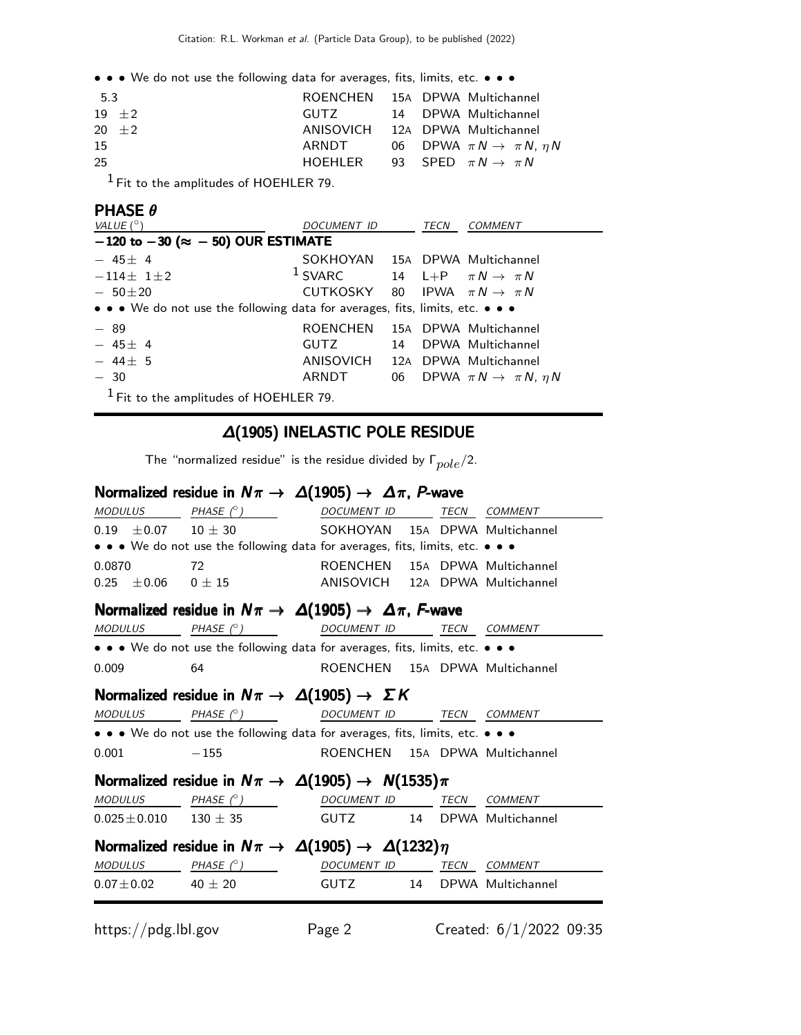• • • We do not use the following data for averages, fits, limits, etc. • • •

| 5.3      | ROENCHEN 15A DPWA Multichannel            |  |                                              |
|----------|-------------------------------------------|--|----------------------------------------------|
| $19 + 2$ | GUTZ CONT                                 |  | 14 DPWA Multichannel                         |
| $20 + 2$ | ANISOVICH 12A DPWA Multichannel           |  |                                              |
| 15       | ARNDT                                     |  | 06 DPWA $\pi N \rightarrow \pi N$ , $\eta N$ |
| 25       | HOEHLER 93 SPED $\pi N \rightarrow \pi N$ |  |                                              |
| $1 -$    |                                           |  |                                              |

1 Fit to the amplitudes of HOEHLER 79.

### $PHASE \theta$

| VALUE $(^\circ)$                                                              | <b>DOCUMENT ID</b>                         |    | <b>TECN</b> | <b>COMMENT</b>                               |
|-------------------------------------------------------------------------------|--------------------------------------------|----|-------------|----------------------------------------------|
| $-120$ to $-30$ ( $\approx -50$ ) OUR ESTIMATE                                |                                            |    |             |                                              |
| $-45\pm 4$                                                                    | SOKHOYAN 15A DPWA Multichannel             |    |             |                                              |
| $-114\pm 11\pm 2$                                                             | $1$ SVARC                                  |    |             | 14 L+P $\pi N \rightarrow \pi N$             |
| $-50\pm 20$                                                                   | CUTKOSKY 80 IPWA $\pi N \rightarrow \pi N$ |    |             |                                              |
| • • • We do not use the following data for averages, fits, limits, etc. • • • |                                            |    |             |                                              |
| $-89$                                                                         | ROENCHEN                                   |    |             | 15A DPWA Multichannel                        |
| $-45\pm 4$                                                                    | <b>GUTZ</b>                                | 14 |             | DPWA Multichannel                            |
| $-44\pm 5$                                                                    | ANISOVICH                                  |    |             | 12A DPWA Multichannel                        |
| $-30$                                                                         | ARNDT                                      |    |             | 06 DPWA $\pi N \rightarrow \pi N$ , $\eta N$ |
| $1$ Fit to the amplitudes of HOEHLER 79.                                      |                                            |    |             |                                              |

#### ∆(1905) INELASTIC POLE RESIDUE

The "normalized residue" is the residue divided by  $\Gamma_{pole}/2$ .

### Normalized residue in  $N\pi\to\Delta(1905)\to\Delta\pi$ , P-wave

|                                                            | $MODULUS$ PHASE $(^{\circ})$                                                  | DOCUMENT ID TECN COMMENT        |  |  |  |  |  |
|------------------------------------------------------------|-------------------------------------------------------------------------------|---------------------------------|--|--|--|--|--|
|                                                            | $0.19 \pm 0.07$ $10 \pm 30$ SOKHOYAN 15A DPWA Multichannel                    |                                 |  |  |  |  |  |
|                                                            | • • • We do not use the following data for averages, fits, limits, etc. • • • |                                 |  |  |  |  |  |
| 0.0870                                                     | 72                                                                            | ROENCHEN 15A DPWA Multichannel  |  |  |  |  |  |
|                                                            | $0.25\quad \pm 0.06\qquad 0\pm 15$                                            | ANISOVICH 12A DPWA Multichannel |  |  |  |  |  |
|                                                            | Normalized residue in $N\pi \to \Delta(1905) \to \Delta\pi$ , F-wave          |                                 |  |  |  |  |  |
|                                                            | $MODULUS$ PHASE $(^\circ)$ DOCUMENT ID TECN COMMENT                           |                                 |  |  |  |  |  |
|                                                            | • • • We do not use the following data for averages, fits, limits, etc. • • • |                                 |  |  |  |  |  |
| 0.009                                                      | 64                                                                            | ROENCHEN 15A DPWA Multichannel  |  |  |  |  |  |
| Normalized residue in $N\pi \to \Delta(1905) \to \Sigma K$ |                                                                               |                                 |  |  |  |  |  |
|                                                            | MODULUS PHASE $(^\circ)$ DOCUMENT ID TECN COMMENT                             |                                 |  |  |  |  |  |
|                                                            | • • • We do not use the following data for averages, fits, limits, etc. • • • |                                 |  |  |  |  |  |
| 0.001                                                      | $-155$                                                                        | ROENCHEN 15A DPWA Multichannel  |  |  |  |  |  |
|                                                            | Normalized residue in $N\pi \to \Delta(1905) \to N(1535)\pi$                  |                                 |  |  |  |  |  |
|                                                            | $MODULUS$ PHASE $(^\circ)$ DOCUMENT ID TECN COMMENT                           |                                 |  |  |  |  |  |
|                                                            | $0.025 \pm 0.010$ $130 \pm 35$ GUTZ $14$ DPWA Multichannel                    |                                 |  |  |  |  |  |
|                                                            | Normalized residue in $N\pi \to \Delta(1905) \to \Delta(1232)\eta$            |                                 |  |  |  |  |  |
|                                                            | $\textit{MODULUS}$ PHASE (° ) DOCUMENT ID TECN COMMENT                        |                                 |  |  |  |  |  |
|                                                            | $0.07 \pm 0.02$ 40 $\pm$ 20                                                   | GUTZ 14 DPWA Multichannel       |  |  |  |  |  |
|                                                            |                                                                               |                                 |  |  |  |  |  |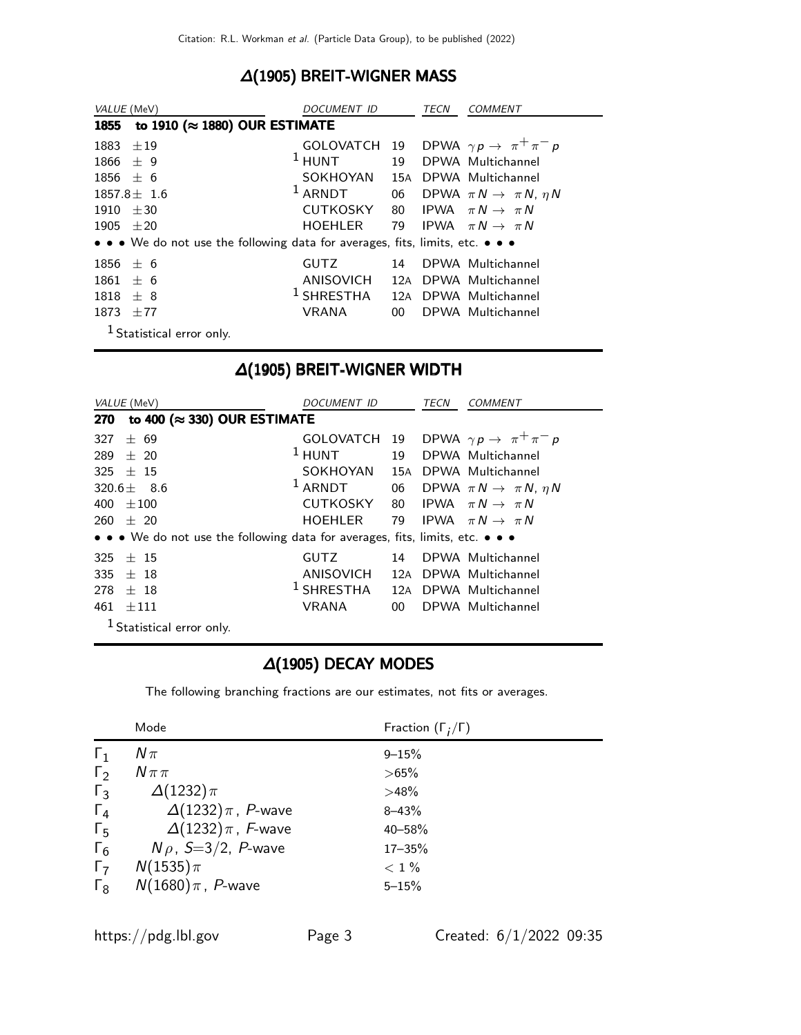### ∆(1905) BREIT-WIGNER MASS

| VALUE (MeV)                                                                   | <i>DOCUMENT ID</i> |                 | TECN | <b>COMMENT</b>                            |
|-------------------------------------------------------------------------------|--------------------|-----------------|------|-------------------------------------------|
| to 1910 ( $\approx$ 1880) OUR ESTIMATE<br>1855                                |                    |                 |      |                                           |
| $+19$<br>1883                                                                 | <b>GOLOVATCH</b>   | 19              |      | DPWA $\gamma p \rightarrow \pi^+ \pi^- p$ |
| 1866<br>± 9                                                                   | $1$ HUNT           | 19              |      | DPWA Multichannel                         |
| $+6$<br>1856                                                                  | SOKHOYAN           | 15A             |      | DPWA Multichannel                         |
| $1857.8 \pm 1.6$                                                              | $1$ ARNDT          | 06              |      | DPWA $\pi N \rightarrow \pi N$ , $\eta N$ |
| 1910<br>$+30$                                                                 | <b>CUTKOSKY</b>    | 80              |      | IPWA $\pi N \rightarrow \pi N$            |
| 1905<br>$\pm 20$                                                              | <b>HOEHLER</b>     |                 |      | 79 IPWA $\pi N \rightarrow \pi N$         |
| • • • We do not use the following data for averages, fits, limits, etc. • • • |                    |                 |      |                                           |
| 1856<br>± 6                                                                   | <b>GUTZ</b>        | 14              |      | DPWA Multichannel                         |
| 1861<br>$+6$                                                                  | ANISOVICH          | 12A             |      | DPWA Multichannel                         |
| 1818<br>$\pm$ 8                                                               | $1$ SHRESTHA       | 12A             |      | DPWA Multichannel                         |
| $+77$<br>1873                                                                 | <b>VRANA</b>       | 00 <sup>1</sup> |      | DPWA Multichannel                         |
| <sup>1</sup> Statistical error only.                                          |                    |                 |      |                                           |

## ∆(1905) BREIT-WIGNER WIDTH

| VALUE (MeV)                                                                   | <i>DOCUMENT ID</i>    |     | TECN | <i>COMMENT</i>                            |
|-------------------------------------------------------------------------------|-----------------------|-----|------|-------------------------------------------|
| to 400 ( $\approx$ 330) OUR ESTIMATE<br>270                                   |                       |     |      |                                           |
| 327<br>$+ 69$                                                                 | <b>GOLOVATCH</b>      | 19  |      | DPWA $\gamma p \rightarrow \pi^+ \pi^- p$ |
| 289<br>$+20$                                                                  | $1$ HUNT              | 19  |      | DPWA Multichannel                         |
| $+$ 15<br>325                                                                 | SOKHOYAN              | 15A |      | DPWA Multichannel                         |
| 320.6 $\pm$ 8.6                                                               | $1$ ARNDT             | 06  |      | DPWA $\pi N \rightarrow \pi N$ , $\eta N$ |
| 400<br>$+100$                                                                 | <b>CUTKOSKY</b>       | 80  |      | IPWA $\pi N \rightarrow \pi N$            |
| 260<br>$+20$                                                                  | <b>HOEHLER</b>        | 79  |      | IPWA $\pi N \rightarrow \pi N$            |
| • • • We do not use the following data for averages, fits, limits, etc. • • • |                       |     |      |                                           |
| 325<br>$+$ 15                                                                 | <b>GUTZ</b>           | 14  |      | DPWA Multichannel                         |
| 335<br>$+$ 18                                                                 | <b>ANISOVICH</b>      |     |      | 12A DPWA Multichannel                     |
| 278<br>$+ 18$                                                                 | <sup>1</sup> SHRESTHA |     |      | 12A DPWA Multichannel                     |
| $+111$<br>461                                                                 | <b>VRANA</b>          | 00  |      | DPWA Multichannel                         |
| $1$ Statistical error only.                                                   |                       |     |      |                                           |

### ∆(1905) DECAY MODES

The following branching fractions are our estimates, not fits or averages.

|            | Mode                          | Fraction $(\Gamma_i/\Gamma)$ |
|------------|-------------------------------|------------------------------|
| $\Gamma_1$ | $N\pi$                        | $9 - 15%$                    |
| $\Gamma_2$ | $N \pi \pi$                   | $>65\%$                      |
| $\Gamma_3$ | $\Delta(1232)\pi$             | >48%                         |
| $\Gamma_4$ | $\Delta(1232)\pi$ , P-wave    | $8 - 43%$                    |
| $\Gamma_5$ | $\Delta(1232)\pi$ , F-wave    | 40-58%                       |
| $\Gamma_6$ | $N \rho$ , S=3/2, P-wave      | $17 - 35%$                   |
| $\Gamma_7$ | $N(1535)\pi$                  | $<$ 1 $\%$                   |
| $\Gamma_8$ | $N(1680)\pi$ , <i>P</i> -wave | $5 - 15%$                    |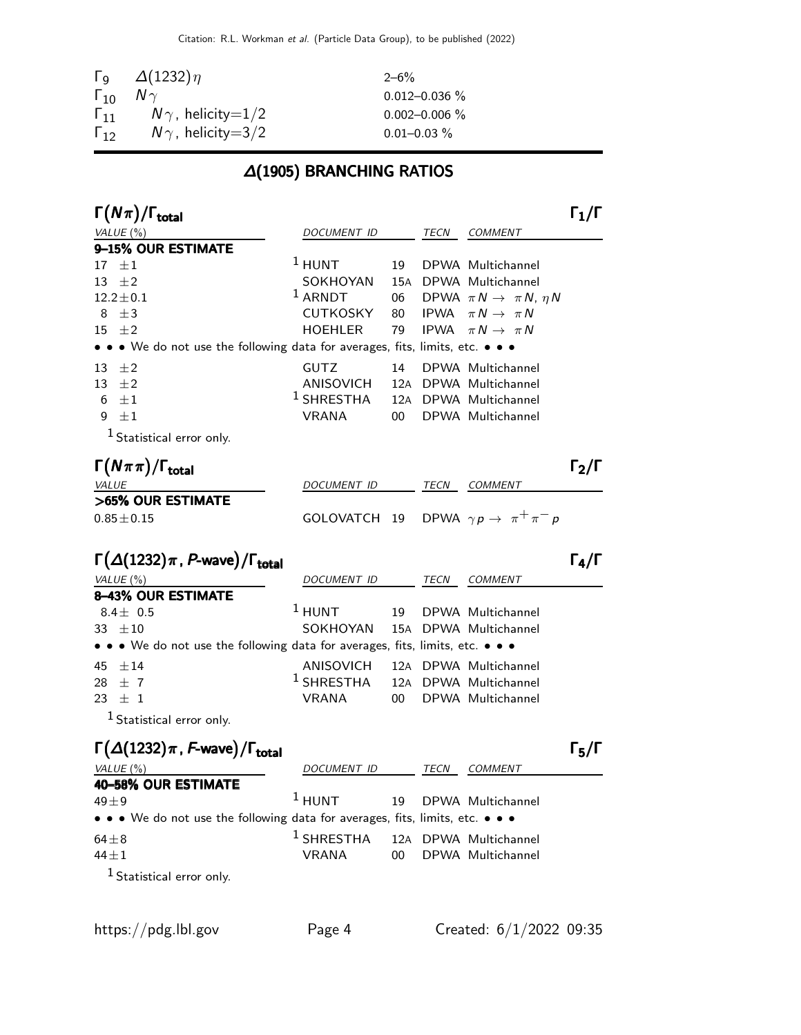|                 | $\Gamma$ <sub>9</sub> $\Delta(1232)\eta$ | $2 - 6\%$          |
|-----------------|------------------------------------------|--------------------|
| $\Gamma_{10}$   | $N \gamma$                               | $0.012 - 0.036$ %  |
| 111             | $N\gamma$ , helicity $=$ 1/2             | $0.002 - 0.006 \%$ |
| 1 <sub>12</sub> | $N\gamma$ , helicity=3/2                 | $0.01 - 0.03 \%$   |

### ∆(1905) BRANCHING RATIOS

| $\Gamma(N\pi)/\Gamma_{\rm total}$                                             |                  |        |             |                                           | $\Gamma_1/\Gamma$                   |
|-------------------------------------------------------------------------------|------------------|--------|-------------|-------------------------------------------|-------------------------------------|
| VALUE $(\%)$                                                                  | DOCUMENT ID      |        | TECN        | <b>COMMENT</b>                            |                                     |
| 9-15% OUR ESTIMATE                                                            |                  |        |             |                                           |                                     |
| $17 \pm 1$                                                                    | $1$ HUNT         | 19     |             | DPWA Multichannel                         |                                     |
| 13<br>$\pm 2$                                                                 | SOKHOYAN         | 15A    |             | DPWA Multichannel                         |                                     |
| $12.2 \pm 0.1$                                                                | $1$ ARNDT        | 06     |             | DPWA $\pi N \rightarrow \pi N$ , $\eta N$ |                                     |
| $\pm$ 3<br>8                                                                  | CUTKOSKY         | 80     |             | IPWA $\pi N \rightarrow \pi N$            |                                     |
| $\pm 2$<br>15                                                                 | <b>HOEHLER</b>   | 79     | <b>IPWA</b> | $\pi N \rightarrow \pi N$                 |                                     |
| • • We do not use the following data for averages, fits, limits, etc. • • •   |                  |        |             |                                           |                                     |
| $\pm 2$<br>13                                                                 | GUTZ             | 14     |             | DPWA Multichannel                         |                                     |
| $\pm 2$<br>13                                                                 | <b>ANISOVICH</b> | 12A    |             | DPWA Multichannel                         |                                     |
| $\pm 1$<br>6                                                                  | $1$ SHRESTHA     | 12A    |             | DPWA Multichannel                         |                                     |
| $\pm 1$<br>9                                                                  | <b>VRANA</b>     | 00     |             | DPWA Multichannel                         |                                     |
| $1$ Statistical error only.                                                   |                  |        |             |                                           |                                     |
| $\Gamma(N\pi\pi)/\Gamma_{\rm total}$                                          |                  |        |             |                                           | $\mathsf{\Gamma}_2/\mathsf{\Gamma}$ |
| <b>VALUE</b>                                                                  | DOCUMENT ID      |        |             | TECN COMMENT                              |                                     |
| >65% OUR ESTIMATE                                                             |                  |        |             |                                           |                                     |
| $0.85 \pm 0.15$                                                               | GOLOVATCH 19     |        |             | DPWA $\gamma p \rightarrow \pi^+ \pi^- p$ |                                     |
| $\Gamma(\Delta(1232)\pi, P$ -wave)/ $\Gamma_{\rm total}$                      |                  |        |             |                                           | $\Gamma_4/\Gamma$                   |
|                                                                               |                  |        |             |                                           |                                     |
| VALUE (%)<br><b>8-43% OUR ESTIMATE</b>                                        | DOCUMENT ID      |        | TECN        | <b>COMMENT</b>                            |                                     |
| 8.4 $\pm$ 0.5                                                                 | $1$ HUNT         | 19     |             | DPWA Multichannel                         |                                     |
| 33 $\pm 10$                                                                   | SOKHOYAN         | 15A    |             | DPWA Multichannel                         |                                     |
| • • • We do not use the following data for averages, fits, limits, etc. • • • |                  |        |             |                                           |                                     |
| $\pm 14$<br>45                                                                | ANISOVICH        |        |             | 12A DPWA Multichannel                     |                                     |
| $\pm$ 7<br>28                                                                 | $1$ SHRESTHA     | 12A    |             | DPWA Multichannel                         |                                     |
| ±1<br>23                                                                      | <b>VRANA</b>     | $00\,$ |             | DPWA Multichannel                         |                                     |
| <sup>1</sup> Statistical error only.                                          |                  |        |             |                                           |                                     |
| $\Gamma(\Delta(1232)\pi, F$ -wave)/ $\Gamma_{\text{total}}$                   |                  |        |             |                                           | $\Gamma_5/\Gamma$                   |
| VALUE $(\%)$                                                                  | DOCUMENT ID      |        | TECN        | COMMENT                                   |                                     |
| 40-58% OUR ESTIMATE                                                           |                  |        |             |                                           |                                     |
| $49 + 9$                                                                      | $1$ HUNT         | 19     |             | DPWA Multichannel                         |                                     |
| • • • We do not use the following data for averages, fits, limits, etc. • • • |                  |        |             |                                           |                                     |
| $64 \pm 8$                                                                    | $1$ SHRESTHA     |        |             | 12A DPWA Multichannel                     |                                     |
| $44 \pm 1$                                                                    | <b>VRANA</b>     | $00\,$ |             | DPWA Multichannel                         |                                     |
| $1$ Statistical error only.                                                   |                  |        |             |                                           |                                     |
|                                                                               |                  |        |             |                                           |                                     |
|                                                                               |                  |        |             |                                           |                                     |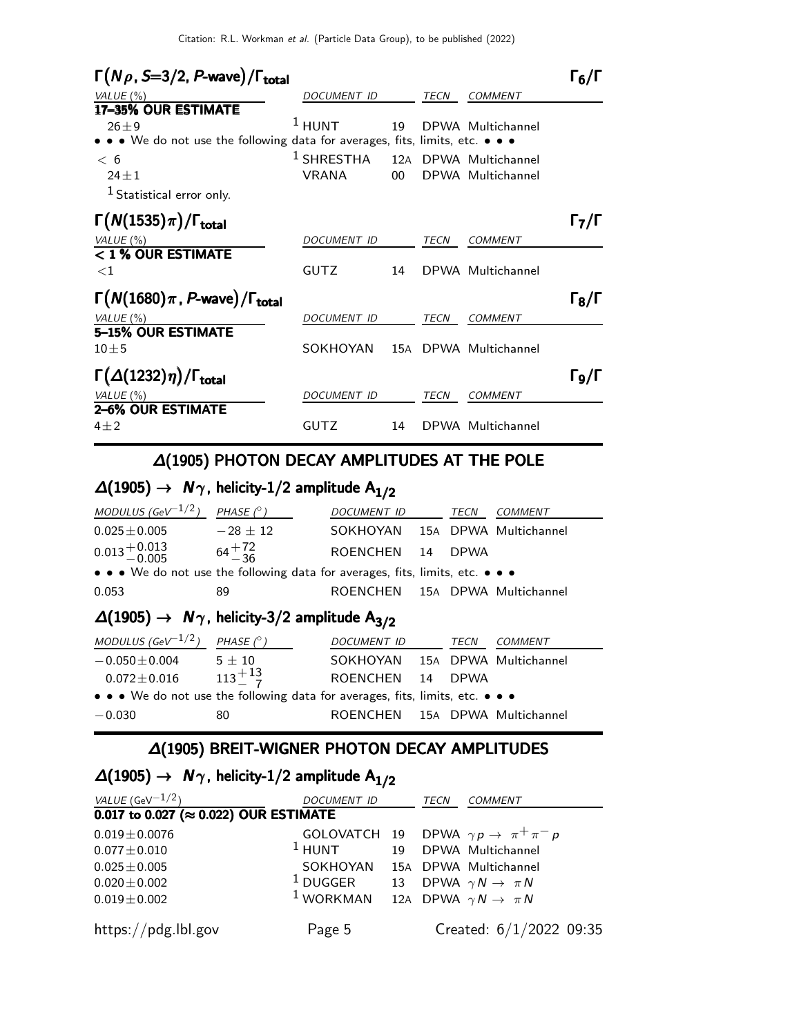| $\Gamma(N\rho, S=3/2, P$ -wave)/ $\Gamma_{\text{total}}$                      |                    |     |             |                   | 16/1                      |
|-------------------------------------------------------------------------------|--------------------|-----|-------------|-------------------|---------------------------|
| VALUE $(\%)$                                                                  | DOCUMENT ID        |     | <b>TECN</b> | <b>COMMENT</b>    |                           |
| 17-35% OUR ESTIMATE                                                           |                    |     |             |                   |                           |
| $26 + 9$                                                                      | $1$ HUNT           | 19  |             | DPWA Multichannel |                           |
| • • • We do not use the following data for averages, fits, limits, etc. • • • |                    |     |             |                   |                           |
| < 6                                                                           | $1$ SHRESTHA       | 12A |             | DPWA Multichannel |                           |
| $24 + 1$                                                                      | <b>VRANA</b>       | OO. |             | DPWA Multichannel |                           |
| <sup>1</sup> Statistical error only.                                          |                    |     |             |                   |                           |
| $\Gamma(N(1535)\pi)/\Gamma_{\rm total}$                                       |                    |     |             |                   | $\mathsf{F}_7/\mathsf{F}$ |
| VALUE $(\%)$                                                                  | DOCUMENT ID        |     | TECN        | <b>COMMENT</b>    |                           |
| < 1 % OUR ESTIMATE                                                            |                    |     |             |                   |                           |
| ${<}1$                                                                        | <b>GUTZ</b>        | 14  |             | DPWA Multichannel |                           |
| $\Gamma(N(1680)\pi, P$ -wave)/ $\Gamma_{\text{total}}$                        |                    |     |             |                   | $\Gamma_8/\Gamma$         |
| VALUE (%)                                                                     | <b>DOCUMENT ID</b> |     | <b>TECN</b> | <b>COMMENT</b>    |                           |
| 5-15% OUR ESTIMATE                                                            |                    |     |             |                   |                           |
| $10 \pm 5$                                                                    | SOKHOYAN           | 15A |             | DPWA Multichannel |                           |
| $\Gamma(\Delta(1232)\eta)/\Gamma_{\rm total}$                                 |                    |     |             |                   | Го/Г                      |
| VALUE $(\%)$                                                                  | <b>DOCUMENT ID</b> |     | TECN        | <b>COMMENT</b>    |                           |
| 2–6% OUR ESTIMATE                                                             |                    |     |             |                   |                           |
| $4 + 2$                                                                       | <b>GUTZ</b>        | 14  |             | DPWA Multichannel |                           |

### ∆(1905) PHOTON DECAY AMPLITUDES AT THE POLE

## $\Delta(1905) \rightarrow N\gamma$ , helicity-1/2 amplitude  $A_{1/2}$

| MODULUS (GeV $^{-1/2}$ )                                                      | PHASE $(^\circ)$                      | <b>DOCUMENT ID</b>             |    | <b>TECN</b> | <b>COMMENT</b> |
|-------------------------------------------------------------------------------|---------------------------------------|--------------------------------|----|-------------|----------------|
| $0.025 \pm 0.005$                                                             | $-28 \pm 12$                          | SOKHOYAN 15A DPWA Multichannel |    |             |                |
| $0.013 + 0.013$ $64 + 72$<br>$-36$                                            |                                       | ROENCHEN 14                    |    | <b>DPWA</b> |                |
| • • • We do not use the following data for averages, fits, limits, etc. • • • |                                       |                                |    |             |                |
| 0.053                                                                         | 89                                    | ROENCHEN 15A DPWA Multichannel |    |             |                |
| $\Delta(1905) \rightarrow N\gamma$ , helicity-3/2 amplitude A <sub>3/2</sub>  |                                       |                                |    |             |                |
|                                                                               |                                       |                                |    |             |                |
| MODULUS (GeV $^{-1/2}$ )                                                      | PHASE $(^\circ)$                      | DOCUMENT ID                    |    | TECN        | <b>COMMENT</b> |
| $-0.050 \!\pm\! 0.004$                                                        | $5 \pm 10$                            | SOKHOYAN 15A DPWA Multichannel |    |             |                |
|                                                                               | $0.072 \pm 0.016$ $113 \frac{+13}{7}$ | ROENCHEN                       | 14 | <b>DPWA</b> |                |

### ∆(1905) BREIT-WIGNER PHOTON DECAY AMPLITUDES

−0.030 80 ROENCHEN 15<sup>A</sup> DPWA Multichannel

## $\Delta(1905)$  →  $N_{\gamma}$ , helicity-1/2 amplitude  $A_{1/2}$

| VALUE (GeV $^{-1/2}$ )                         | DOCUMENT ID                                                |  | TECN | <b>COMMENT</b>                                         |  |
|------------------------------------------------|------------------------------------------------------------|--|------|--------------------------------------------------------|--|
| 0.017 to 0.027 ( $\approx$ 0.022) OUR ESTIMATE |                                                            |  |      |                                                        |  |
| $0.019 \pm 0.0076$                             |                                                            |  |      | GOLOVATCH 19 DPWA $\gamma p \rightarrow \pi^+ \pi^- p$ |  |
| $0.077 \pm 0.010$                              | <sup>1</sup> HUNT 19 DPWA Multichannel                     |  |      |                                                        |  |
| $0.025 \pm 0.005$                              | SOKHOYAN 15A DPWA Multichannel                             |  |      |                                                        |  |
| $0.020 \pm 0.002$                              | <sup>1</sup> DUGGER 13 DPWA $\gamma N \to \pi N$           |  |      |                                                        |  |
| $0.019 \pm 0.002$                              | <sup>1</sup> WORKMAN 12A DPWA $\gamma N \rightarrow \pi N$ |  |      |                                                        |  |
|                                                | Page 5                                                     |  |      |                                                        |  |
| https://pdg.lbl.gov                            |                                                            |  |      | Created: $6/1/2022$ 09:35                              |  |